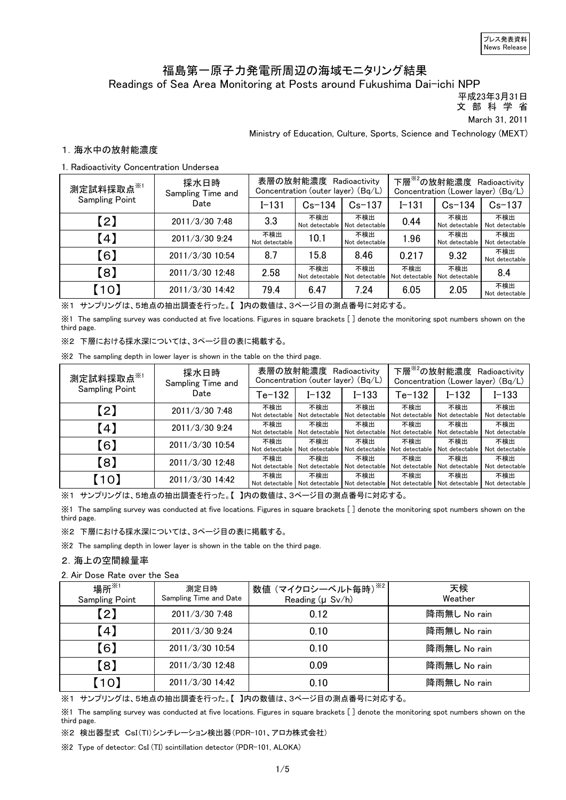# Readings of Sea Area Monitoring at Posts around Fukushima Dai-ichi NPP 福島第一原子力発電所周辺の海域モニタリング結果

平成23年3月31日

文 部 科 学 省

March 31, 2011

Ministry of Education, Culture, Sports, Science and Technology (MEXT)

# 1.海水中の放射能濃度

## 1. Radioactivity Concentration Undersea

| 測定試料採取点※1             | 採水日時<br>Sampling Time and |                       | 表層の放射能濃度 Radioactivity<br>Concentration (outer layer) (Bq/L) |                       |                       | 下層 <sup>※2</sup> の放射能濃度 Radioactivity<br>Concentration (Lower layer) (Bq/L) |                       |  |
|-----------------------|---------------------------|-----------------------|--------------------------------------------------------------|-----------------------|-----------------------|-----------------------------------------------------------------------------|-----------------------|--|
| <b>Sampling Point</b> | Date                      | $I - 131$             | $Cs - 134$                                                   | $Cs - 137$            | $I - 131$             | $Cs - 134$                                                                  | $Cs - 137$            |  |
| (2)                   | 2011/3/30 7:48            | 3.3                   | 不検出<br>Not detectable                                        | 不検出<br>Not detectable | 0.44                  | 不検出<br>Not detectable                                                       | 不検出<br>Not detectable |  |
| (4)                   | 2011/3/30 9:24            | 不検出<br>Not detectable | 10.1                                                         | 不検出<br>Not detectable | 1.96                  | 不検出<br>Not detectable                                                       | 不検出<br>Not detectable |  |
| [6]                   | 2011/3/30 10:54           | 8.7                   | 15.8                                                         | 8.46                  | 0.217                 | 9.32                                                                        | 不検出<br>Not detectable |  |
| [8]                   | 2011/3/30 12:48           | 2.58                  | 不検出<br>Not detectable                                        | 不検出<br>Not detectable | 不検出<br>Not detectable | 不検出<br>Not detectable                                                       | 8.4                   |  |
| (10)                  | 2011/3/30 14:42           | 79.4                  | 6.47                                                         | 7.24                  | 6.05                  | 2.05                                                                        | 不検出<br>Not detectable |  |

※1 サンプリングは、5地点の抽出調査を行った。【 】内の数値は、3ページ目の測点番号に対応する。

※1 The sampling survey was conducted at five locations. Figures in square brackets [ ] denote the monitoring spot numbers shown on the third page.

※2 下層における採水深については、3ページ目の表に掲載する。

※2 The sampling depth in lower layer is shown in the table on the third page.

| 測定試料採取点 <sup>※1</sup> | 採水日時<br>Sampling Time and |                       | 表層の放射能濃度 Radioactivity<br>Concentration (outer layer) (Bq/L) |                       |                       | 下層 <sup>※2</sup> の放射能濃度 Radioactivity<br>Concentration (Lower layer) (Bq/L) |                       |  |
|-----------------------|---------------------------|-----------------------|--------------------------------------------------------------|-----------------------|-----------------------|-----------------------------------------------------------------------------|-----------------------|--|
| <b>Sampling Point</b> | Date                      | Te-132                | I-132                                                        | $I - 133$             | $Te-132$              | $I - 132$                                                                   | I-133                 |  |
| $\left[2\right]$      | 2011/3/30 7:48            | 不検出<br>Not detectable | 不検出<br>Not detectable                                        | 不検出<br>Not detectable | 不検出<br>Not detectable | 不検出<br>Not detectable                                                       | 不検出<br>Not detectable |  |
| (4)                   | 2011/3/30 9:24            | 不検出<br>Not detectable | 不検出<br>Not detectable                                        | 不検出<br>Not detectable | 不検出<br>Not detectable | 不検出<br>Not detectable                                                       | 不検出<br>Not detectable |  |
| 【6】                   | 2011/3/30 10:54           | 不検出<br>Not detectable | 不検出<br>Not detectable                                        | 不検出<br>Not detectable | 不検出<br>Not detectable | 不検出<br>Not detectable                                                       | 不検出<br>Not detectable |  |
| [8]                   | 2011/3/30 12:48           | 不検出<br>Not detectable | 不検出<br>Not detectable                                        | 不検出<br>Not detectable | 不検出<br>Not detectable | 不検出<br>Not detectable                                                       | 不検出<br>Not detectable |  |
| [10]                  | 2011/3/30 14:42           | 不検出<br>Not detectable | 不検出<br>Not detectable   Not detectable                       | 不検出                   | 不検出<br>Not detectable | 不検出<br>Not detectable                                                       | 不検出<br>Not detectable |  |

※1 サンプリングは、5地点の抽出調査を行った。【 】内の数値は、3ページ目の測点番号に対応する。

※1 The sampling survey was conducted at five locations. Figures in square brackets [ ] denote the monitoring spot numbers shown on the third page.

※2 下層における採水深については、3ページ目の表に掲載する。

※2 The sampling depth in lower layer is shown in the table on the third page.

# 2.海上の空間線量率

### 2. Air Dose Rate over the Sea

| 場所 ${{}^{\times}_{\hspace{-0.5mm}3}}$<br><b>Sampling Point</b> | 測定日時<br>Sampling Time and Date | 数値 (マイクロシーベルト毎時)※2<br>Reading (µ Sv/h) | 天候<br>Weather |
|----------------------------------------------------------------|--------------------------------|----------------------------------------|---------------|
| $\left( 2\right)$                                              | 2011/3/30 7:48                 | 0.12                                   | 降雨無し No rain  |
| (4)                                                            | 2011/3/30 9:24                 | 0.10                                   | 降雨無し No rain  |
| 【6】                                                            | 2011/3/30 10:54                | 0.10                                   | 降雨無し No rain  |
| 【8】                                                            | 2011/3/30 12:48                | 0.09                                   | 降雨無し No rain  |
| 【10】                                                           | 2011/3/30 14:42                | 0.10                                   | 降雨無し No rain  |

※1 サンプリングは、5地点の抽出調査を行った。【 】内の数値は、3ページ目の測点番号に対応する。

※1 The sampling survey was conducted at five locations. Figures in square brackets [ ] denote the monitoring spot numbers shown on the third page.

※2 検出器型式 CsI(TI)シンチレーション検出器(PDR-101、アロカ株式会社)

※2 Type of detector: CsI (TI) scintillation detector (PDR-101, ALOKA)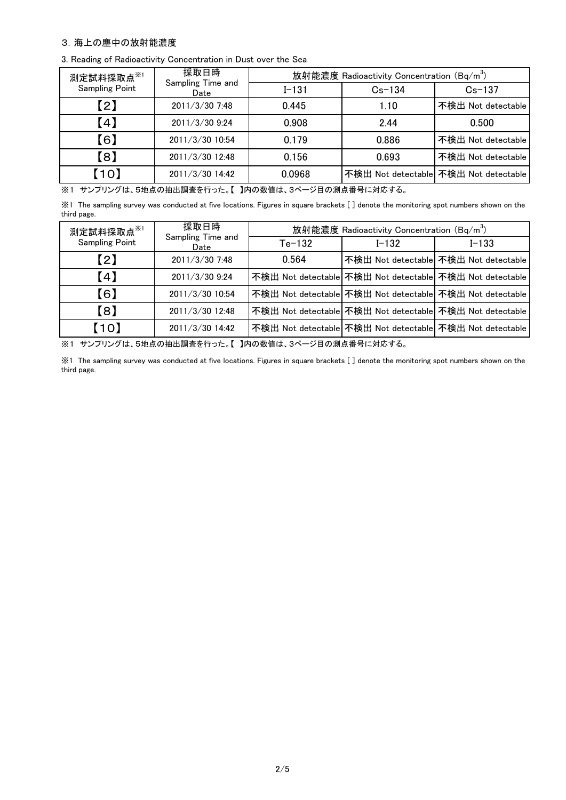### 3.海上の塵中の放射能濃度

|  |  |  |  |  |  | 3. Reading of Radioactivity Concentration in Dust over the Sea |  |  |  |  |  |
|--|--|--|--|--|--|----------------------------------------------------------------|--|--|--|--|--|
|--|--|--|--|--|--|----------------------------------------------------------------|--|--|--|--|--|

| 測定試料採取点※1             | 採取日時                      | 放射能濃度 Radioactivity Concentration (Bq/m <sup>3</sup> ) |            |                                       |  |  |
|-----------------------|---------------------------|--------------------------------------------------------|------------|---------------------------------------|--|--|
| <b>Sampling Point</b> | Sampling Time and<br>Date | $I - 131$                                              | $Cs - 134$ | $Cs - 137$                            |  |  |
| $\lceil 2 \rceil$     | 2011/3/30 7:48            | 0.445                                                  | 1.10       | 不検出 Not detectable                    |  |  |
| (4)                   | 2011/3/30 9:24            | 0.908                                                  | 2.44       | 0.500                                 |  |  |
| 【6】                   | 2011/3/30 10:54           | 0.179                                                  | 0.886      | 不検出 Not detectable                    |  |  |
| [8]                   | 2011/3/30 12:48           | 0.156                                                  | 0.693      | 不検出 Not detectable                    |  |  |
| (10)                  | 2011/3/30 14:42           | 0.0968                                                 |            | 不検出 Not detectable 不検出 Not detectable |  |  |

※1 サンプリングは、5地点の抽出調査を行った。【 】内の数値は、3ページ目の測点番号に対応する。

※1 The sampling survey was conducted at five locations. Figures in square brackets [ ] denote the monitoring spot numbers shown on the third page.

| 測定試料採取点※1             | 採取日時                      | 放射能濃度 Radioactivity Concentration (Bq/m <sup>3</sup> ) |           |                                                          |  |  |  |
|-----------------------|---------------------------|--------------------------------------------------------|-----------|----------------------------------------------------------|--|--|--|
| <b>Sampling Point</b> | Sampling Time and<br>Date | $Te-132$                                               | $I - 132$ | $I - 133$                                                |  |  |  |
| $\left[2\right]$      | 2011/3/30 7:48            | 0.564                                                  |           | 不検出 Not detectable 不検出 Not detectable                    |  |  |  |
| (4)                   | 2011/3/30 9:24            |                                                        |           | 不検出 Not detectable 不検出 Not detectable 不検出 Not detectable |  |  |  |
| [6]                   | 2011/3/30 10:54           |                                                        |           | 不検出 Not detectable 不検出 Not detectable 不検出 Not detectable |  |  |  |
| [8]                   | 2011/3/30 12:48           |                                                        |           | 不検出 Not detectable 不検出 Not detectable 不検出 Not detectable |  |  |  |
| [10]                  | 2011/3/30 14:42           |                                                        |           | 不検出 Not detectable 不検出 Not detectable 不検出 Not detectable |  |  |  |

※1 サンプリングは、5地点の抽出調査を行った。【 】内の数値は、3ページ目の測点番号に対応する。

※1 The sampling survey was conducted at five locations. Figures in square brackets [ ] denote the monitoring spot numbers shown on the third page.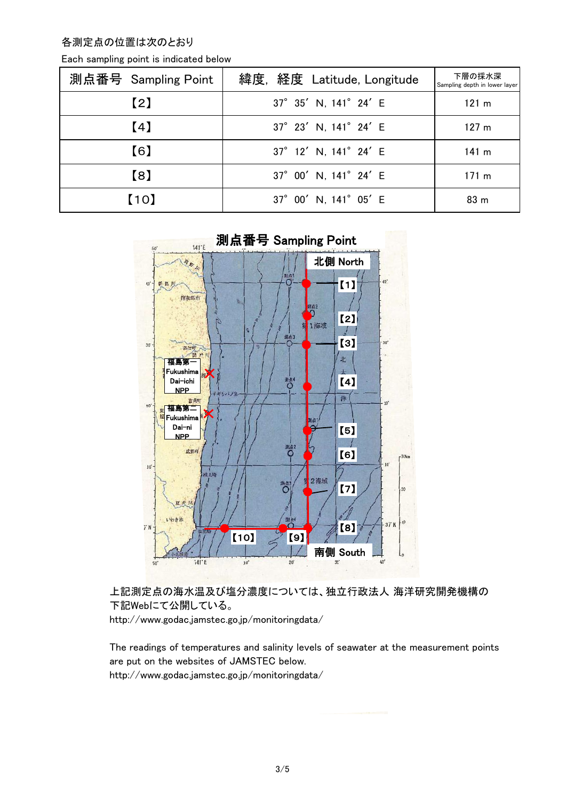各測定点の位置は次のとおり

| Each sampling point is indicated below |  |
|----------------------------------------|--|
|----------------------------------------|--|

| 測点番号 Sampling Point | 緯度, 経度 Latitude, Longitude | 下層の採水深<br>Sampling depth in lower layer |
|---------------------|----------------------------|-----------------------------------------|
| $\left[2\right]$    | 37° 35' N, 141° 24' E      | 121 m                                   |
| (4)                 | 37° 23' N, 141° 24' E      | 127 <sub>m</sub>                        |
| [6]                 | 37° 12' N, 141° 24' E      | 141 m                                   |
| 【8】                 | 37° 00' N, 141° 24' E      | 171 $m$                                 |
| [10]                | 37° 00' N, 141° 05' E      | 83 <sub>m</sub>                         |



上記測定点の海水温及び塩分濃度については、独立行政法人 海洋研究開発機構の 下記Webにて公開している。

http://www.godac.jamstec.go.jp/monitoringdata/

The readings of temperatures and salinity levels of seawater at the measurement points are put on the websites of JAMSTEC below. http://www.godac.jamstec.go.jp/monitoringdata/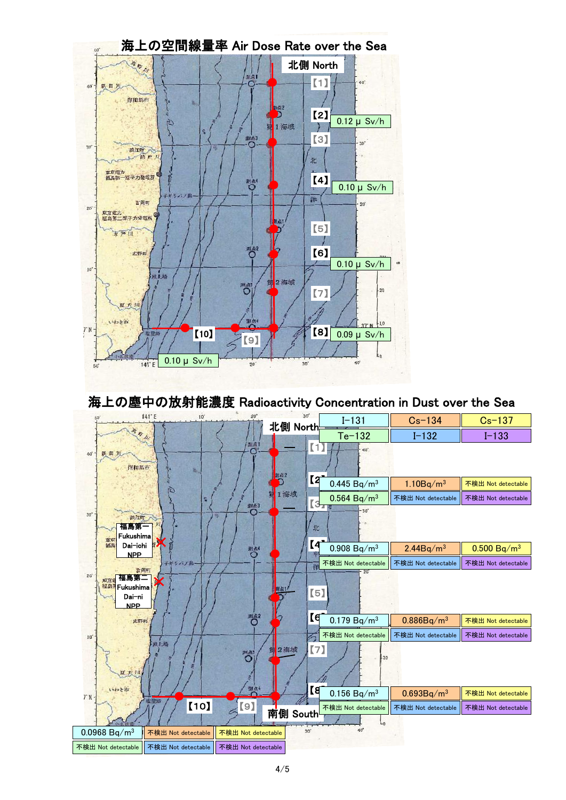

海上の塵中の放射能濃度 Radioactivity Concentration in Dust over the Sea